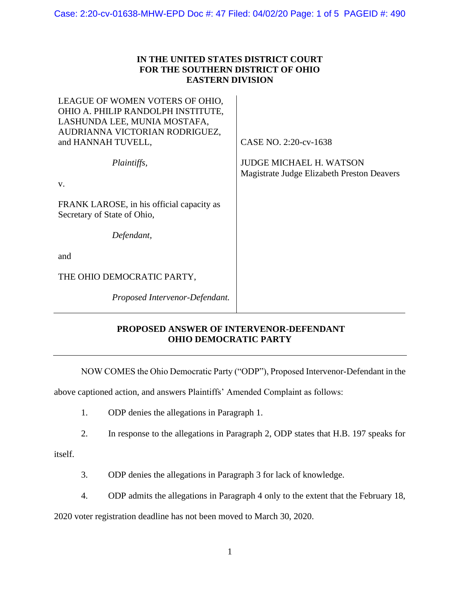## **IN THE UNITED STATES DISTRICT COURT FOR THE SOUTHERN DISTRICT OF OHIO EASTERN DIVISION**

| LEAGUE OF WOMEN VOTERS OF OHIO,<br>OHIO A. PHILIP RANDOLPH INSTITUTE,<br>LASHUNDA LEE, MUNIA MOSTAFA,<br>AUDRIANNA VICTORIAN RODRIGUEZ,<br>and HANNAH TUVELL, | CASE NO. 2:20-cv-1638                                                        |
|---------------------------------------------------------------------------------------------------------------------------------------------------------------|------------------------------------------------------------------------------|
| Plaintiffs,<br>V.                                                                                                                                             | <b>JUDGE MICHAEL H. WATSON</b><br>Magistrate Judge Elizabeth Preston Deavers |
| FRANK LAROSE, in his official capacity as<br>Secretary of State of Ohio,                                                                                      |                                                                              |
| Defendant,                                                                                                                                                    |                                                                              |
| and                                                                                                                                                           |                                                                              |
| THE OHIO DEMOCRATIC PARTY,                                                                                                                                    |                                                                              |
| Proposed Intervenor-Defendant.                                                                                                                                |                                                                              |
|                                                                                                                                                               |                                                                              |

## **PROPOSED ANSWER OF INTERVENOR-DEFENDANT OHIO DEMOCRATIC PARTY**

NOW COMES the Ohio Democratic Party ("ODP"), Proposed Intervenor-Defendant in the

above captioned action, and answers Plaintiffs' Amended Complaint as follows:

- 1. ODP denies the allegations in Paragraph 1.
- 2. In response to the allegations in Paragraph 2, ODP states that H.B. 197 speaks for

itself.

- 3. ODP denies the allegations in Paragraph 3 for lack of knowledge.
- 4. ODP admits the allegations in Paragraph 4 only to the extent that the February 18,

2020 voter registration deadline has not been moved to March 30, 2020.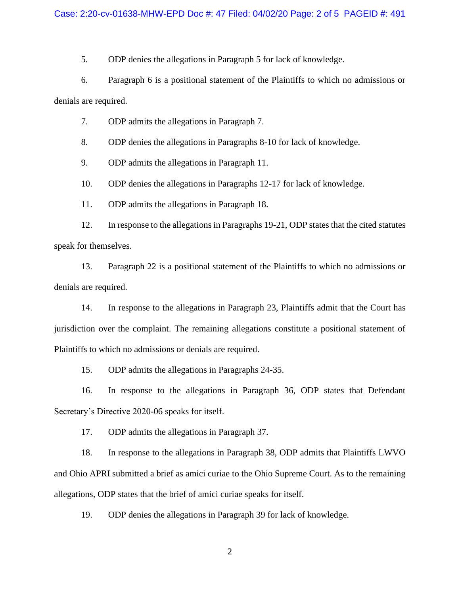5. ODP denies the allegations in Paragraph 5 for lack of knowledge.

6. Paragraph 6 is a positional statement of the Plaintiffs to which no admissions or denials are required.

7. ODP admits the allegations in Paragraph 7.

8. ODP denies the allegations in Paragraphs 8-10 for lack of knowledge.

9. ODP admits the allegations in Paragraph 11.

10. ODP denies the allegations in Paragraphs 12-17 for lack of knowledge.

11. ODP admits the allegations in Paragraph 18.

12. In response to the allegations in Paragraphs 19-21, ODP states that the cited statutes speak for themselves.

13. Paragraph 22 is a positional statement of the Plaintiffs to which no admissions or denials are required.

14. In response to the allegations in Paragraph 23, Plaintiffs admit that the Court has jurisdiction over the complaint. The remaining allegations constitute a positional statement of Plaintiffs to which no admissions or denials are required.

15. ODP admits the allegations in Paragraphs 24-35.

16. In response to the allegations in Paragraph 36, ODP states that Defendant Secretary's Directive 2020-06 speaks for itself.

17. ODP admits the allegations in Paragraph 37.

18. In response to the allegations in Paragraph 38, ODP admits that Plaintiffs LWVO and Ohio APRI submitted a brief as amici curiae to the Ohio Supreme Court. As to the remaining allegations, ODP states that the brief of amici curiae speaks for itself.

19. ODP denies the allegations in Paragraph 39 for lack of knowledge.

2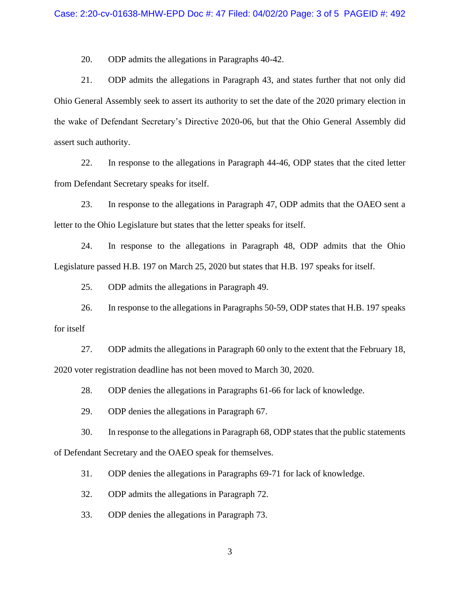20. ODP admits the allegations in Paragraphs 40-42.

21. ODP admits the allegations in Paragraph 43, and states further that not only did Ohio General Assembly seek to assert its authority to set the date of the 2020 primary election in the wake of Defendant Secretary's Directive 2020-06, but that the Ohio General Assembly did assert such authority.

22. In response to the allegations in Paragraph 44-46, ODP states that the cited letter from Defendant Secretary speaks for itself.

23. In response to the allegations in Paragraph 47, ODP admits that the OAEO sent a letter to the Ohio Legislature but states that the letter speaks for itself.

24. In response to the allegations in Paragraph 48, ODP admits that the Ohio Legislature passed H.B. 197 on March 25, 2020 but states that H.B. 197 speaks for itself.

25. ODP admits the allegations in Paragraph 49.

26. In response to the allegations in Paragraphs 50-59, ODP states that H.B. 197 speaks for itself

27. ODP admits the allegations in Paragraph 60 only to the extent that the February 18, 2020 voter registration deadline has not been moved to March 30, 2020.

28. ODP denies the allegations in Paragraphs 61-66 for lack of knowledge.

29. ODP denies the allegations in Paragraph 67.

30. In response to the allegations in Paragraph 68, ODP states that the public statements of Defendant Secretary and the OAEO speak for themselves.

31. ODP denies the allegations in Paragraphs 69-71 for lack of knowledge.

32. ODP admits the allegations in Paragraph 72.

33. ODP denies the allegations in Paragraph 73.

3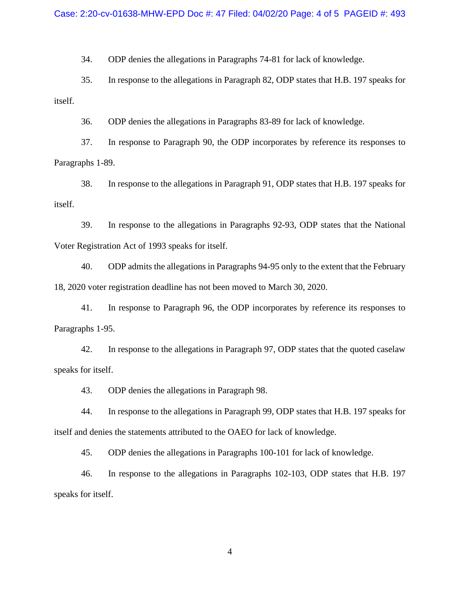34. ODP denies the allegations in Paragraphs 74-81 for lack of knowledge.

35. In response to the allegations in Paragraph 82, ODP states that H.B. 197 speaks for itself.

36. ODP denies the allegations in Paragraphs 83-89 for lack of knowledge.

37. In response to Paragraph 90, the ODP incorporates by reference its responses to Paragraphs 1-89.

38. In response to the allegations in Paragraph 91, ODP states that H.B. 197 speaks for itself.

39. In response to the allegations in Paragraphs 92-93, ODP states that the National Voter Registration Act of 1993 speaks for itself.

40. ODP admits the allegations in Paragraphs 94-95 only to the extent that the February 18, 2020 voter registration deadline has not been moved to March 30, 2020.

41. In response to Paragraph 96, the ODP incorporates by reference its responses to Paragraphs 1-95.

42. In response to the allegations in Paragraph 97, ODP states that the quoted caselaw speaks for itself.

43. ODP denies the allegations in Paragraph 98.

44. In response to the allegations in Paragraph 99, ODP states that H.B. 197 speaks for itself and denies the statements attributed to the OAEO for lack of knowledge.

45. ODP denies the allegations in Paragraphs 100-101 for lack of knowledge.

46. In response to the allegations in Paragraphs 102-103, ODP states that H.B. 197 speaks for itself.

4